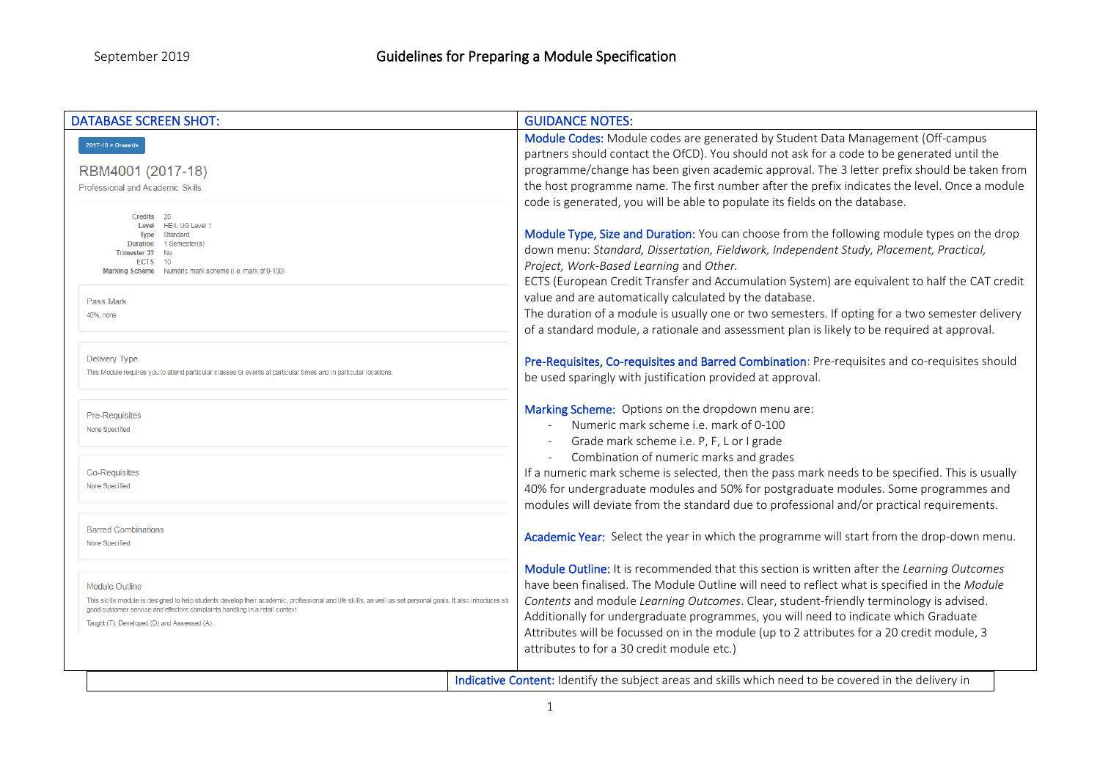| <b>DATABASE SCREEN SHOT:</b>                                                                                                                                                                                                                                                                                      | <b>GUIDANCE NOTES:</b>                                                                                                                                                                                                                                                                                                                                                                                                                                                                                                  |
|-------------------------------------------------------------------------------------------------------------------------------------------------------------------------------------------------------------------------------------------------------------------------------------------------------------------|-------------------------------------------------------------------------------------------------------------------------------------------------------------------------------------------------------------------------------------------------------------------------------------------------------------------------------------------------------------------------------------------------------------------------------------------------------------------------------------------------------------------------|
| $2017-18 >$ Onwards<br>RBM4001 (2017-18)<br>Professional and Academic Skills                                                                                                                                                                                                                                      | Module Codes: Module codes are generated by Student Data Management (Off-campus<br>partners should contact the OfCD). You should not ask for a code to be generated until the<br>programme/change has been given academic approval. The 3 letter prefix should be taken from<br>the host programme name. The first number after the prefix indicates the level. Once a module                                                                                                                                           |
|                                                                                                                                                                                                                                                                                                                   | code is generated, you will be able to populate its fields on the database.                                                                                                                                                                                                                                                                                                                                                                                                                                             |
| Credits 20<br>Level HE4, UG Level 1<br>Standard<br><b>Type</b><br>1 Semester(s)<br><b>Duration</b><br>Trimester 3? No<br><b>ECTS</b><br>10<br>Marking Scheme Numeric mark scheme (i.e. mark of 0-100)                                                                                                             | Module Type, Size and Duration: You can choose from the following module types on the drop<br>down menu: Standard, Dissertation, Fieldwork, Independent Study, Placement, Practical,<br>Project, Work-Based Learning and Other.<br>ECTS (European Credit Transfer and Accumulation System) are equivalent to half the CAT credit                                                                                                                                                                                        |
| Pass Mark<br>40%, none                                                                                                                                                                                                                                                                                            | value and are automatically calculated by the database.<br>The duration of a module is usually one or two semesters. If opting for a two semester delivery                                                                                                                                                                                                                                                                                                                                                              |
|                                                                                                                                                                                                                                                                                                                   | of a standard module, a rationale and assessment plan is likely to be required at approval.                                                                                                                                                                                                                                                                                                                                                                                                                             |
| Delivery Type<br>This Module requires you to attend particular classes or events at particular times and in particular locations                                                                                                                                                                                  | Pre-Requisites, Co-requisites and Barred Combination: Pre-requisites and co-requisites should<br>be used sparingly with justification provided at approval.                                                                                                                                                                                                                                                                                                                                                             |
| <b>Pre-Requisites</b><br>None Specified                                                                                                                                                                                                                                                                           | Marking Scheme: Options on the dropdown menu are:<br>Numeric mark scheme i.e. mark of 0-100<br>Grade mark scheme i.e. P, F, L or I grade                                                                                                                                                                                                                                                                                                                                                                                |
| <b>Co-Requisites</b><br>None Specified                                                                                                                                                                                                                                                                            | Combination of numeric marks and grades<br>If a numeric mark scheme is selected, then the pass mark needs to be specified. This is usually<br>40% for undergraduate modules and 50% for postgraduate modules. Some programmes and<br>modules will deviate from the standard due to professional and/or practical requirements.                                                                                                                                                                                          |
| <b>Barred Combinations</b><br>None Specified                                                                                                                                                                                                                                                                      | Academic Year: Select the year in which the programme will start from the drop-down menu.                                                                                                                                                                                                                                                                                                                                                                                                                               |
| <b>Module Outline</b><br>This skills module is designed to help students develop their academic, professional and life skills, as well as set personal goals. It also introduces st<br>good customer service and effective complaints handling in a retail context<br>Taught (T), Developed (D) and Assessed (A). | Module Outline: It is recommended that this section is written after the Learning Outcomes<br>have been finalised. The Module Outline will need to reflect what is specified in the Module<br>Contents and module Learning Outcomes. Clear, student-friendly terminology is advised.<br>Additionally for undergraduate programmes, you will need to indicate which Graduate<br>Attributes will be focussed on in the module (up to 2 attributes for a 20 credit module, 3<br>attributes to for a 30 credit module etc.) |
|                                                                                                                                                                                                                                                                                                                   | Indicative Content: Identify the subject areas and skills which need to be covered in the delivery in                                                                                                                                                                                                                                                                                                                                                                                                                   |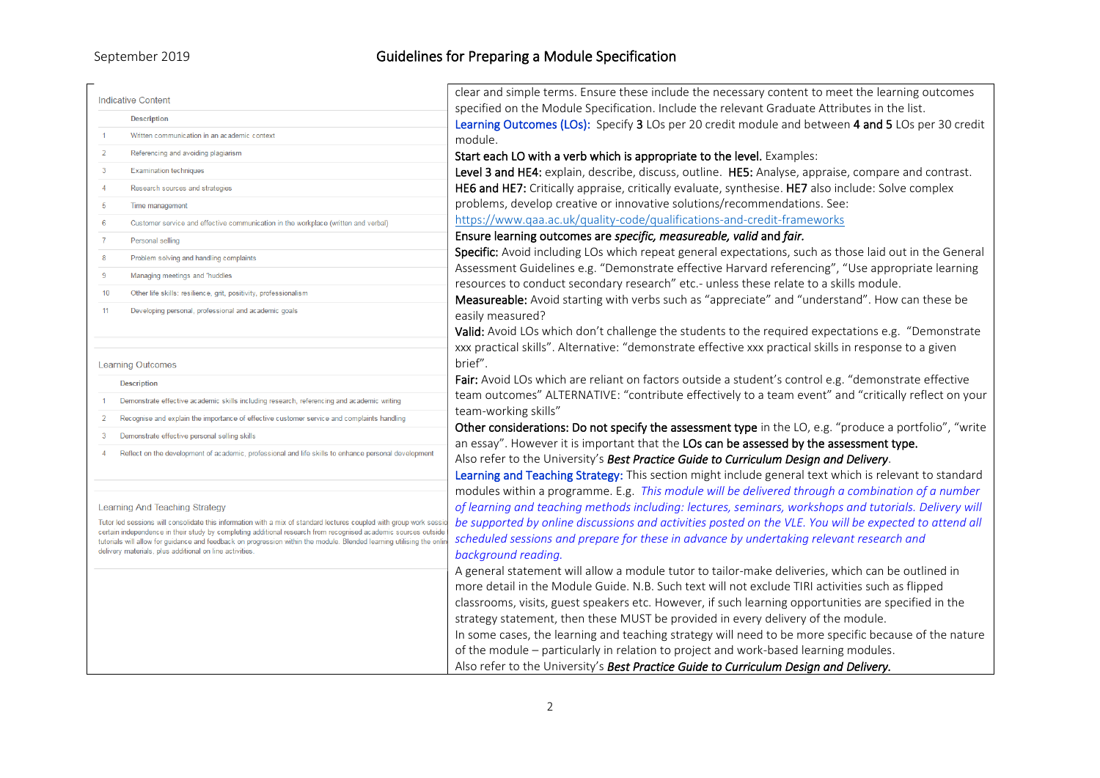| <b>Indicative Content</b> |                                                                                                                                                                                | clear and simple terms. Ensure these include the necessary content to meet the learning outcomes                                                                                                  |  |
|---------------------------|--------------------------------------------------------------------------------------------------------------------------------------------------------------------------------|---------------------------------------------------------------------------------------------------------------------------------------------------------------------------------------------------|--|
|                           | <b>Description</b>                                                                                                                                                             | specified on the Module Specification. Include the relevant Graduate Attributes in the list.                                                                                                      |  |
|                           | Written communication in an academic context                                                                                                                                   | Learning Outcomes (LOs): Specify 3 LOs per 20 credit module and between 4 and 5 LOs per 30 credit                                                                                                 |  |
| $\overline{2}$            | Referencing and avoiding plagiarism                                                                                                                                            | module.                                                                                                                                                                                           |  |
| $\overline{3}$            | <b>Examination techniques</b>                                                                                                                                                  | Start each LO with a verb which is appropriate to the level. Examples:                                                                                                                            |  |
|                           |                                                                                                                                                                                | Level 3 and HE4: explain, describe, discuss, outline. HE5: Analyse, appraise, compare and contrast.                                                                                               |  |
| $\overline{4}$            | Research sources and strategies                                                                                                                                                | HE6 and HE7: Critically appraise, critically evaluate, synthesise. HE7 also include: Solve complex                                                                                                |  |
| 5                         | Time management                                                                                                                                                                | problems, develop creative or innovative solutions/recommendations. See:                                                                                                                          |  |
| 6                         | Customer service and effective communication in the workplace (written and verbal)                                                                                             | https://www.qaa.ac.uk/quality-code/qualifications-and-credit-frameworks                                                                                                                           |  |
| $\overline{7}$            | Personal selling                                                                                                                                                               | Ensure learning outcomes are specific, measureable, valid and fair.                                                                                                                               |  |
| 8                         | Problem solving and handling complaints                                                                                                                                        | Specific: Avoid including LOs which repeat general expectations, such as those laid out in the General                                                                                            |  |
| 9                         | Managing meetings and "huddles                                                                                                                                                 | Assessment Guidelines e.g. "Demonstrate effective Harvard referencing", "Use appropriate learning                                                                                                 |  |
| 10                        | Other life skills: resilience, grit, positivity, professionalism                                                                                                               | resources to conduct secondary research" etc.- unless these relate to a skills module.                                                                                                            |  |
| 11                        | Developing personal, professional and academic goals                                                                                                                           | Measureable: Avoid starting with verbs such as "appreciate" and "understand". How can these be                                                                                                    |  |
|                           |                                                                                                                                                                                | easily measured?                                                                                                                                                                                  |  |
|                           |                                                                                                                                                                                | Valid: Avoid LOs which don't challenge the students to the required expectations e.g. "Demonstrate                                                                                                |  |
|                           |                                                                                                                                                                                | xxx practical skills". Alternative: "demonstrate effective xxx practical skills in response to a given                                                                                            |  |
|                           | <b>Learning Outcomes</b>                                                                                                                                                       | brief".                                                                                                                                                                                           |  |
|                           | <b>Description</b>                                                                                                                                                             | Fair: Avoid LOs which are reliant on factors outside a student's control e.g. "demonstrate effective                                                                                              |  |
|                           | Demonstrate effective academic skills including research, referencing and academic writing                                                                                     | team outcomes" ALTERNATIVE: "contribute effectively to a team event" and "critically reflect on your                                                                                              |  |
|                           | Recognise and explain the importance of effective customer service and complaints handling                                                                                     | team-working skills"                                                                                                                                                                              |  |
| 3                         | Demonstrate effective personal selling skills                                                                                                                                  | Other considerations: Do not specify the assessment type in the LO, e.g. "produce a portfolio", "write<br>an essay". However it is important that the LOs can be assessed by the assessment type. |  |
|                           | Reflect on the development of academic, professional and life skills to enhance personal development                                                                           | Also refer to the University's Best Practice Guide to Curriculum Design and Delivery.                                                                                                             |  |
|                           |                                                                                                                                                                                | Learning and Teaching Strategy: This section might include general text which is relevant to standard                                                                                             |  |
|                           |                                                                                                                                                                                | modules within a programme. E.g. This module will be delivered through a combination of a number                                                                                                  |  |
|                           | Learning And Teaching Strategy                                                                                                                                                 | of learning and teaching methods including: lectures, seminars, workshops and tutorials. Delivery will                                                                                            |  |
|                           | Tutor led sessions will consolidate this information with a mix of standard lectures coupled with group work sess                                                              | be supported by online discussions and activities posted on the VLE. You will be expected to attend all                                                                                           |  |
|                           | certain independence in their study by completing additional research from recognised academic sources outsid                                                                  |                                                                                                                                                                                                   |  |
|                           | tutorials will allow for guidance and feedback on progression within the module. Blended learning utilising the onl<br>delivery materials, plus additional on line activities. | scheduled sessions and prepare for these in advance by undertaking relevant research and                                                                                                          |  |
|                           |                                                                                                                                                                                | background reading.                                                                                                                                                                               |  |
|                           |                                                                                                                                                                                | A general statement will allow a module tutor to tailor-make deliveries, which can be outlined in                                                                                                 |  |
|                           |                                                                                                                                                                                | more detail in the Module Guide. N.B. Such text will not exclude TIRI activities such as flipped                                                                                                  |  |
|                           |                                                                                                                                                                                | classrooms, visits, guest speakers etc. However, if such learning opportunities are specified in the                                                                                              |  |
|                           |                                                                                                                                                                                | strategy statement, then these MUST be provided in every delivery of the module.                                                                                                                  |  |
|                           |                                                                                                                                                                                | In some cases, the learning and teaching strategy will need to be more specific because of the nature                                                                                             |  |
|                           |                                                                                                                                                                                | of the module - particularly in relation to project and work-based learning modules.                                                                                                              |  |
|                           |                                                                                                                                                                                | Also refer to the University's Best Practice Guide to Curriculum Design and Delivery.                                                                                                             |  |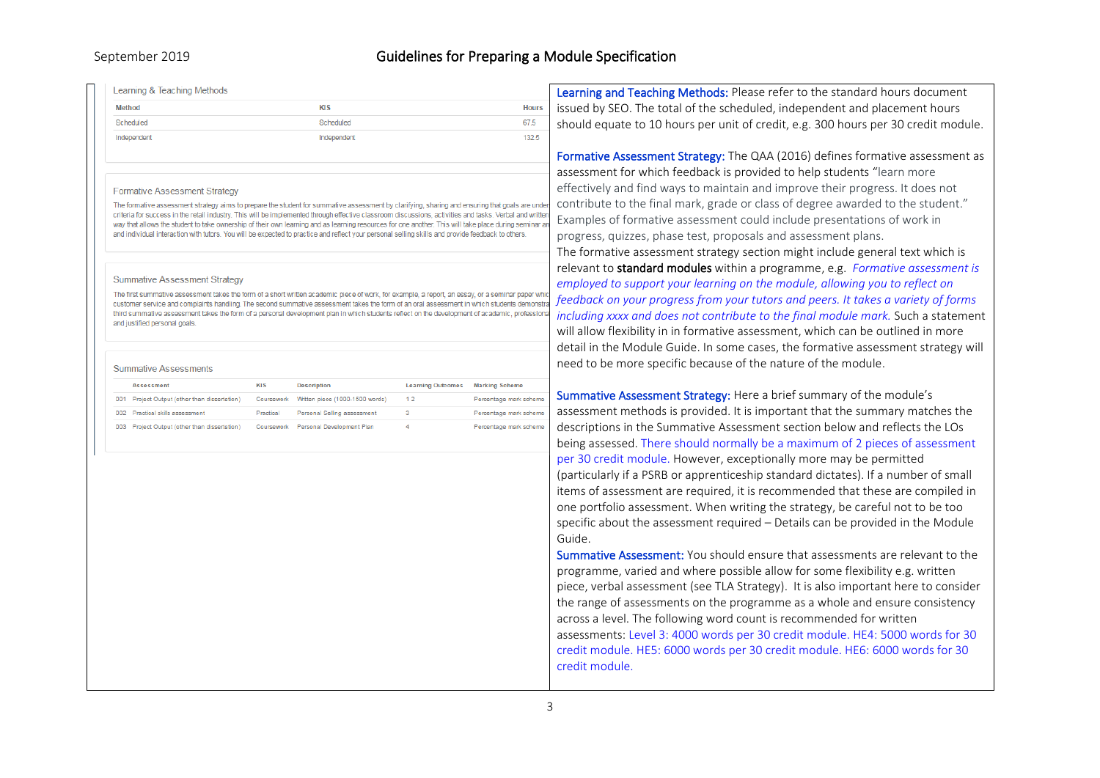## September 2019 **Guidelines for Preparing a Module Specification**

| Learning & Teaching Methods                                                                                                                                                                                                                                                                                                                                                                                                                                                                                                                                                                                                                                                                                                                                                                                                                                                                                                                                                                                                                                                                                                                                                                                                   |                                                                                    |                              |                                                  | Learning and Teaching Methods: Please refer to the standard hours document                                                                                                                                                                                                                                                                                                                                                                                                                                                                                                                                                                                                                                                                                                                                                                                                                                                                                                                                                                                                                                                                                                                                                                                           |  |
|-------------------------------------------------------------------------------------------------------------------------------------------------------------------------------------------------------------------------------------------------------------------------------------------------------------------------------------------------------------------------------------------------------------------------------------------------------------------------------------------------------------------------------------------------------------------------------------------------------------------------------------------------------------------------------------------------------------------------------------------------------------------------------------------------------------------------------------------------------------------------------------------------------------------------------------------------------------------------------------------------------------------------------------------------------------------------------------------------------------------------------------------------------------------------------------------------------------------------------|------------------------------------------------------------------------------------|------------------------------|--------------------------------------------------|----------------------------------------------------------------------------------------------------------------------------------------------------------------------------------------------------------------------------------------------------------------------------------------------------------------------------------------------------------------------------------------------------------------------------------------------------------------------------------------------------------------------------------------------------------------------------------------------------------------------------------------------------------------------------------------------------------------------------------------------------------------------------------------------------------------------------------------------------------------------------------------------------------------------------------------------------------------------------------------------------------------------------------------------------------------------------------------------------------------------------------------------------------------------------------------------------------------------------------------------------------------------|--|
| <b>Method</b>                                                                                                                                                                                                                                                                                                                                                                                                                                                                                                                                                                                                                                                                                                                                                                                                                                                                                                                                                                                                                                                                                                                                                                                                                 | KIS                                                                                |                              | <b>Hours</b>                                     | issued by SEO. The total of the scheduled, independent and placement hours                                                                                                                                                                                                                                                                                                                                                                                                                                                                                                                                                                                                                                                                                                                                                                                                                                                                                                                                                                                                                                                                                                                                                                                           |  |
| Scheduled                                                                                                                                                                                                                                                                                                                                                                                                                                                                                                                                                                                                                                                                                                                                                                                                                                                                                                                                                                                                                                                                                                                                                                                                                     | Scheduled                                                                          |                              | 67.5                                             | should equate to 10 hours per unit of credit, e.g. 300 hours per 30 credit module.                                                                                                                                                                                                                                                                                                                                                                                                                                                                                                                                                                                                                                                                                                                                                                                                                                                                                                                                                                                                                                                                                                                                                                                   |  |
| Independent                                                                                                                                                                                                                                                                                                                                                                                                                                                                                                                                                                                                                                                                                                                                                                                                                                                                                                                                                                                                                                                                                                                                                                                                                   | Independent                                                                        |                              | 132.5                                            |                                                                                                                                                                                                                                                                                                                                                                                                                                                                                                                                                                                                                                                                                                                                                                                                                                                                                                                                                                                                                                                                                                                                                                                                                                                                      |  |
| <b>Formative Assessment Strategy</b><br>The formative assessment strategy aims to prepare the student for summative assessment by clarifying, sharing and ensuring that goals are under<br>criteria for success in the retail industry. This will be implemented through effective classroom discussions, activities and tasks. Verbal and writter<br>way that allows the student to take ownership of their own learning and as learning resources for one another. This will take place during seminar are<br>and individual interaction with tutors. You will be expected to practice and reflect your personal selling skills and provide feedback to others.<br><b>Summative Assessment Strategy</b><br>The first summative assessment takes the form of a short written academic piece of work, for example, a report, an essay, or a seminar paper whi<br>customer service and complaints handling. The second summative assessment takes the form of an oral assessment in which students demonstr<br>third summative assessment takes the form of a personal development plan in which students reflect on the development of academic, professiona<br>and justified personal goals.<br><b>Summative Assessments</b> |                                                                                    |                              |                                                  | Formative Assessment Strategy: The QAA (2016) defines formative assessment as<br>assessment for which feedback is provided to help students "learn more<br>effectively and find ways to maintain and improve their progress. It does not<br>contribute to the final mark, grade or class of degree awarded to the student."<br>Examples of formative assessment could include presentations of work in<br>progress, quizzes, phase test, proposals and assessment plans.<br>The formative assessment strategy section might include general text which is<br>relevant to standard modules within a programme, e.g. Formative assessment is<br>employed to support your learning on the module, allowing you to reflect on<br>feedback on your progress from your tutors and peers. It takes a variety of forms<br>including xxxx and does not contribute to the final module mark. Such a statement<br>will allow flexibility in in formative assessment, which can be outlined in more<br>detail in the Module Guide. In some cases, the formative assessment strategy will<br>need to be more specific because of the nature of the module.                                                                                                                        |  |
| <b>Assessment</b>                                                                                                                                                                                                                                                                                                                                                                                                                                                                                                                                                                                                                                                                                                                                                                                                                                                                                                                                                                                                                                                                                                                                                                                                             | <b>KIS</b><br><b>Description</b>                                                   | <b>Learning Outcomes</b>     | <b>Marking Scheme</b>                            |                                                                                                                                                                                                                                                                                                                                                                                                                                                                                                                                                                                                                                                                                                                                                                                                                                                                                                                                                                                                                                                                                                                                                                                                                                                                      |  |
| 001 Project Output (other than dissertation)                                                                                                                                                                                                                                                                                                                                                                                                                                                                                                                                                                                                                                                                                                                                                                                                                                                                                                                                                                                                                                                                                                                                                                                  | Coursework<br>Written piece (1000-1500 words)                                      | 12                           | Percentage mark scheme                           | Summative Assessment Strategy: Here a brief summary of the module's                                                                                                                                                                                                                                                                                                                                                                                                                                                                                                                                                                                                                                                                                                                                                                                                                                                                                                                                                                                                                                                                                                                                                                                                  |  |
| 002 Practical skills assessment<br>003 Project Output (other than dissertation)                                                                                                                                                                                                                                                                                                                                                                                                                                                                                                                                                                                                                                                                                                                                                                                                                                                                                                                                                                                                                                                                                                                                               | Practica<br>Personal Selling assessment<br>Coursework<br>Personal Development Plan | $\overline{\mathbf{3}}$<br>4 | Percentage mark scheme<br>Percentage mark scheme | assessment methods is provided. It is important that the summary matches the<br>descriptions in the Summative Assessment section below and reflects the LOs<br>being assessed. There should normally be a maximum of 2 pieces of assessment<br>per 30 credit module. However, exceptionally more may be permitted<br>(particularly if a PSRB or apprenticeship standard dictates). If a number of small<br>items of assessment are required, it is recommended that these are compiled in<br>one portfolio assessment. When writing the strategy, be careful not to be too<br>specific about the assessment required - Details can be provided in the Module<br>Guide.<br>Summative Assessment: You should ensure that assessments are relevant to the<br>programme, varied and where possible allow for some flexibility e.g. written<br>piece, verbal assessment (see TLA Strategy). It is also important here to consider<br>the range of assessments on the programme as a whole and ensure consistency<br>across a level. The following word count is recommended for written<br>assessments: Level 3: 4000 words per 30 credit module. HE4: 5000 words for 30<br>credit module. HE5: 6000 words per 30 credit module. HE6: 6000 words for 30<br>credit module. |  |